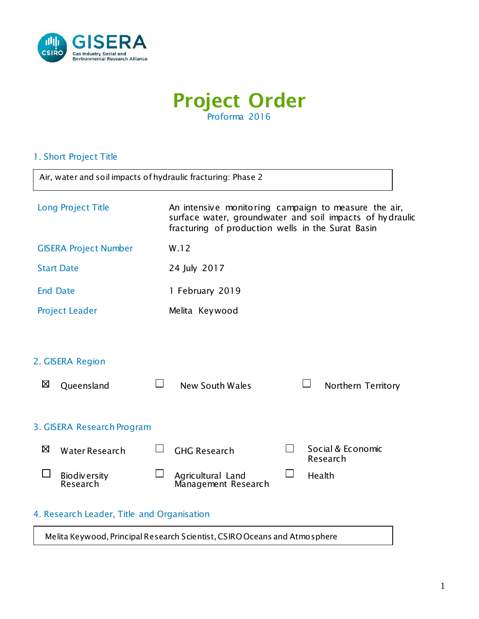

# Project Order Proforma 2016

## 1. Short Project Title

 $\mathbf{r}$ 

| Air, water and soil impacts of hydraulic fracturing: Phase 2                                                                                                                                |                                                                           |  |  |  |  |  |
|---------------------------------------------------------------------------------------------------------------------------------------------------------------------------------------------|---------------------------------------------------------------------------|--|--|--|--|--|
| Long Project Title<br>An intensive monitoring campaign to measure the air,<br>surface water, groundwater and soil impacts of hydraulic<br>fracturing of production wells in the Surat Basin |                                                                           |  |  |  |  |  |
| <b>GISERA Project Number</b>                                                                                                                                                                | W.12                                                                      |  |  |  |  |  |
| <b>Start Date</b>                                                                                                                                                                           | 24 July 2017                                                              |  |  |  |  |  |
| <b>End Date</b>                                                                                                                                                                             | 1 February 2019                                                           |  |  |  |  |  |
| <b>Project Leader</b><br>Melita Keywood                                                                                                                                                     |                                                                           |  |  |  |  |  |
|                                                                                                                                                                                             |                                                                           |  |  |  |  |  |
| 2. GISERA Region                                                                                                                                                                            |                                                                           |  |  |  |  |  |
| ⊠<br>Queensland                                                                                                                                                                             | <b>New South Wales</b><br>Northern Territory                              |  |  |  |  |  |
|                                                                                                                                                                                             |                                                                           |  |  |  |  |  |
| 3. GISERA Research Program                                                                                                                                                                  |                                                                           |  |  |  |  |  |
| ⊠<br>Water Research                                                                                                                                                                         | Social & Economic<br>$\vert \ \ \vert$<br><b>GHG Research</b><br>Research |  |  |  |  |  |
| <b>Biodiversity</b><br>Research                                                                                                                                                             | $\Box$<br>Agricultural Land<br>Health<br>Management Research              |  |  |  |  |  |
| 4. Research Leader, Title and Organisation                                                                                                                                                  |                                                                           |  |  |  |  |  |

Melita Keywood, Principal Research Scientist, CSIRO Oceans and Atmosphere

٦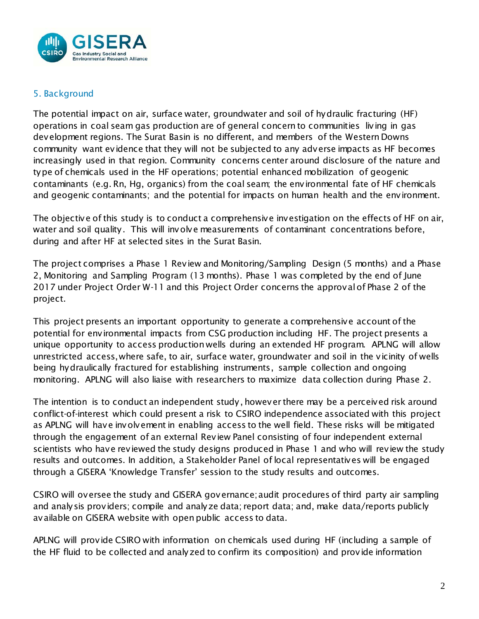

## 5. Background

The potential impact on air, surface water, groundwater and soil of hydraulic fracturing (HF) operations in coal seam gas production are of general concern to communities living in gas development regions. The Surat Basin is no different, and members of the Western Downs community want evidence that they will not be subjected to any adverse impacts as HF becomes increasingly used in that region. Community concerns center around disclosure of the nature and type of chemicals used in the HF operations; potential enhanced mobilization of geogenic contaminants (e.g. Rn, Hg, organics) from the coal seam; the environmental fate of HF chemicals and geogenic contaminants; and the potential for impacts on human health and the environment.

The objective of this study is to conduct a comprehensive investigation on the effects of HF on air, water and soil quality. This will involve measurements of contaminant concentrations before, during and after HF at selected sites in the Surat Basin.

The project comprises a Phase 1 Review and Monitoring/Sampling Design (5 months) and a Phase 2, Monitoring and Sampling Program (13 months). Phase 1 was completed by the end of June 2017 under Project Order W-11 and this Project Order concerns the approval of Phase 2 of the project.

This project presents an important opportunity to generate a comprehensive account of the potential for environmental impacts from CSG production including HF. The project presents a unique opportunity to access production wells during an extended HF program. APLNG will allow unrestricted access,where safe, to air, surface water, groundwater and soil in the vicinity of wells being hydraulically fractured for establishing instruments, sample collection and ongoing monitoring. APLNG will also liaise with researchers to maximize data collection during Phase 2.

The intention is to conduct an independent study, however there may be a perceived risk around conflict-of-interest which could present a risk to CSIRO independence associated with this project as APLNG will have involvement in enabling access to the well field. These risks will be mitigated through the engagement of an external Review Panel consisting of four independent external scientists who have reviewed the study designs produced in Phase 1 and who will review the study results and outcomes. In addition, a Stakeholder Panel of local representatives will be engaged through a GISERA 'Knowledge Transfer' session to the study results and outcomes.

CSIRO will oversee the study and GISERA governance; audit procedures of third party air sampling and analysis providers; compile and analyze data; report data; and, make data/reports publicly available on GISERA website with open public access to data.

APLNG will provide CSIRO with information on chemicals used during HF (including a sample of the HF fluid to be collected and analyzed to confirm its composition) and provide information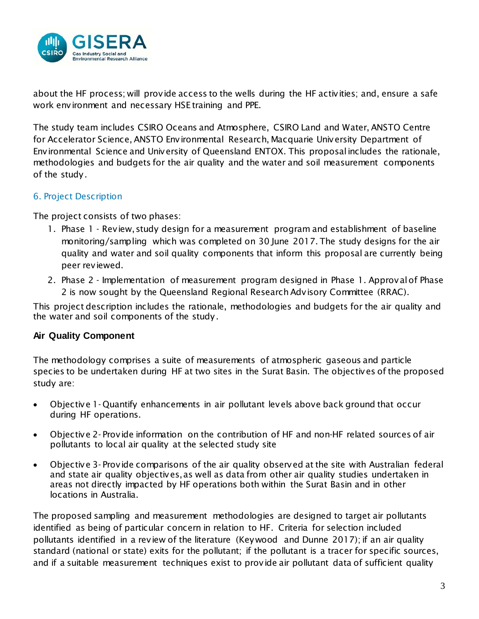

about the HF process; will provide access to the wells during the HF activities; and, ensure a safe work environment and necessary HSE training and PPE.

The study team includes CSIRO Oceans and Atmosphere, CSIRO Land and Water, ANSTO Centre for Accelerator Science, ANSTO Environmental Research, Macquarie University Department of Environmental Science and University of Queensland ENTOX. This proposal includes the rationale, methodologies and budgets for the air quality and the water and soil measurement components of the study.

## 6. Project Description

The project consists of two phases:

- 1. Phase 1 Review, study design for a measurement program and establishment of baseline monitoring/sampling which was completed on 30 June 2017. The study designs for the air quality and water and soil quality components that inform this proposal are currently being peer reviewed.
- 2. Phase 2 Implementation of measurement program designed in Phase 1. Approval of Phase 2 is now sought by the Queensland Regional Research Advisory Committee (RRAC).

This project description includes the rationale, methodologies and budgets for the air quality and the water and soil components of the study.

## **Air Quality Component**

The methodology comprises a suite of measurements of atmospheric gaseous and particle species to be undertaken during HF at two sites in the Surat Basin. The objectives of the proposed study are:

- Objective 1- Quantify enhancements in air pollutant levels above back ground that occur during HF operations.
- Objective 2- Provide information on the contribution of HF and non-HF related sources of air pollutants to local air quality at the selected study site
- Objective 3- Provide comparisons of the air quality observed at the site with Australian federal and state air quality objectives, as well as data from other air quality studies undertaken in areas not directly impacted by HF operations both within the Surat Basin and in other locations in Australia.

The proposed sampling and measurement methodologies are designed to target air pollutants identified as being of particular concern in relation to HF. Criteria for selection included pollutants identified in a review of the literature (Keywood and Dunne 2017); if an air quality standard (national or state) exits for the pollutant; if the pollutant is a tracer for specific sources, and if a suitable measurement techniques exist to provide air pollutant data of sufficient quality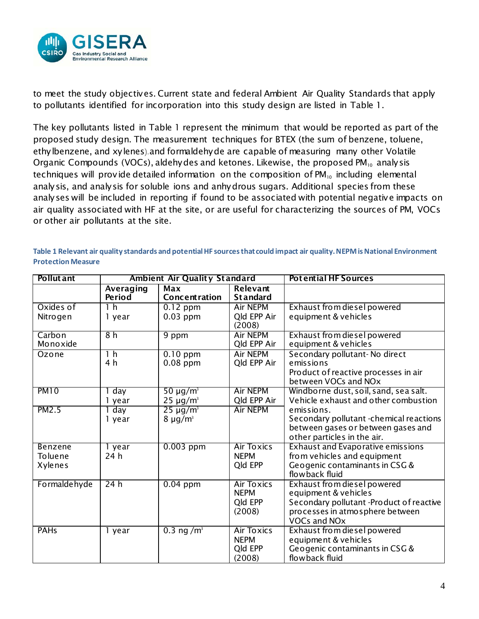

to meet the study objectives. Current state and federal Ambient Air Quality Standards that apply to pollutants identified for incorporation into this study design are listed in Table 1.

The key pollutants listed in [Table 1](#page-3-0) represent the minimum that would be reported as part of the proposed study design. The measurement techniques for BTEX (the sum of benzene, toluene, ethylbenzene, and xylenes).and formaldehyde are capable of measuring many other Volatile Organic Compounds (VOCs), aldehydes and ketones. Likewise, the proposed  $PM_{10}$  analysis techniques will provide detailed information on the composition of  $PM_{10}$  including elemental analysis, and analysis for soluble ions and anhydrous sugars. Additional species from these analyses will be included in reporting if found to be associated with potential negative impacts on air quality associated with HF at the site, or are useful for characterizing the sources of PM, VOCs or other air pollutants at the site.

| <b>Pollut</b> ant                                                   |                                 | <b>Ambient Air Quality Standard</b>                   |                                                                                                                                                        | <b>Potential HF Sources</b>                                                                                                                                                                                                                                                                                                                                                                                                                                              |
|---------------------------------------------------------------------|---------------------------------|-------------------------------------------------------|--------------------------------------------------------------------------------------------------------------------------------------------------------|--------------------------------------------------------------------------------------------------------------------------------------------------------------------------------------------------------------------------------------------------------------------------------------------------------------------------------------------------------------------------------------------------------------------------------------------------------------------------|
|                                                                     | Averaging<br><b>Period</b>      | Max<br>Concentration                                  | <b>Relevant</b><br><b>Standard</b>                                                                                                                     |                                                                                                                                                                                                                                                                                                                                                                                                                                                                          |
| Oxides of                                                           | 1 <sub>h</sub>                  | $0.12$ ppm                                            | <b>Air NEPM</b>                                                                                                                                        | Exhaust from diesel powered                                                                                                                                                                                                                                                                                                                                                                                                                                              |
| Nitrogen                                                            | 1 year                          | $0.03$ ppm                                            | Qld EPP Air<br>(2008)                                                                                                                                  | equipment & vehicles                                                                                                                                                                                                                                                                                                                                                                                                                                                     |
| Carbon                                                              | 8h                              | 9 ppm                                                 | <b>Air NEPM</b>                                                                                                                                        | Exhaust from diesel powered                                                                                                                                                                                                                                                                                                                                                                                                                                              |
| Monoxide                                                            |                                 |                                                       | <b>Old EPP Air</b>                                                                                                                                     | equipment & vehicles                                                                                                                                                                                                                                                                                                                                                                                                                                                     |
| Ozone                                                               | 1 <sub>h</sub>                  | $0.10$ ppm                                            | <b>Air NEPM</b>                                                                                                                                        | Secondary pollutant- No direct                                                                                                                                                                                                                                                                                                                                                                                                                                           |
|                                                                     | 4 h                             | $0.08$ ppm                                            | Qld EPP Air                                                                                                                                            | emissions                                                                                                                                                                                                                                                                                                                                                                                                                                                                |
|                                                                     |                                 |                                                       |                                                                                                                                                        | Product of reactive processes in air                                                                                                                                                                                                                                                                                                                                                                                                                                     |
|                                                                     |                                 |                                                       |                                                                                                                                                        | between VOCs and NO <sub>x</sub>                                                                                                                                                                                                                                                                                                                                                                                                                                         |
| <b>PM10</b>                                                         | day                             | 50 $\mu$ g/m <sup>3</sup>                             | <b>Air NEPM</b>                                                                                                                                        | Windborne dust, soil, sand, sea salt.                                                                                                                                                                                                                                                                                                                                                                                                                                    |
|                                                                     | 1 year                          | $25 \mu g/m^3$                                        | <b>Old EPP Air</b>                                                                                                                                     | Vehicle exhaust and other combustion                                                                                                                                                                                                                                                                                                                                                                                                                                     |
| PM2.5                                                               | day                             | $25 \mu g/m^3$                                        | <b>Air NEPM</b>                                                                                                                                        | emissions.                                                                                                                                                                                                                                                                                                                                                                                                                                                               |
|                                                                     | 1 year                          | $8 \mu g/m^3$                                         |                                                                                                                                                        | Secondary pollutant -chemical reactions                                                                                                                                                                                                                                                                                                                                                                                                                                  |
|                                                                     |                                 |                                                       |                                                                                                                                                        |                                                                                                                                                                                                                                                                                                                                                                                                                                                                          |
|                                                                     |                                 |                                                       |                                                                                                                                                        |                                                                                                                                                                                                                                                                                                                                                                                                                                                                          |
|                                                                     |                                 |                                                       |                                                                                                                                                        |                                                                                                                                                                                                                                                                                                                                                                                                                                                                          |
|                                                                     |                                 |                                                       |                                                                                                                                                        |                                                                                                                                                                                                                                                                                                                                                                                                                                                                          |
|                                                                     |                                 |                                                       |                                                                                                                                                        |                                                                                                                                                                                                                                                                                                                                                                                                                                                                          |
|                                                                     |                                 |                                                       |                                                                                                                                                        |                                                                                                                                                                                                                                                                                                                                                                                                                                                                          |
|                                                                     |                                 |                                                       |                                                                                                                                                        |                                                                                                                                                                                                                                                                                                                                                                                                                                                                          |
|                                                                     |                                 |                                                       |                                                                                                                                                        |                                                                                                                                                                                                                                                                                                                                                                                                                                                                          |
|                                                                     |                                 |                                                       |                                                                                                                                                        |                                                                                                                                                                                                                                                                                                                                                                                                                                                                          |
|                                                                     |                                 |                                                       |                                                                                                                                                        |                                                                                                                                                                                                                                                                                                                                                                                                                                                                          |
|                                                                     |                                 |                                                       |                                                                                                                                                        |                                                                                                                                                                                                                                                                                                                                                                                                                                                                          |
|                                                                     |                                 |                                                       |                                                                                                                                                        |                                                                                                                                                                                                                                                                                                                                                                                                                                                                          |
|                                                                     |                                 |                                                       |                                                                                                                                                        |                                                                                                                                                                                                                                                                                                                                                                                                                                                                          |
|                                                                     |                                 |                                                       |                                                                                                                                                        |                                                                                                                                                                                                                                                                                                                                                                                                                                                                          |
| <b>Benzene</b><br>Toluene<br>Xylenes<br>Formaldehyde<br><b>PAHs</b> | 1 year<br>24 h<br>24h<br>1 year | $0.003$ ppm<br>$0.04$ ppm<br>$0.3$ ng /m <sup>3</sup> | Air Toxics<br><b>NEPM</b><br>Qld EPP<br><b>Air Toxics</b><br><b>NEPM</b><br>Qld EPP<br>(2008)<br><b>Air Toxics</b><br><b>NEPM</b><br>Qld EPP<br>(2008) | between gases or between gases and<br>other particles in the air.<br><b>Exhaust and Evaporative emissions</b><br>from vehicles and equipment<br>Geogenic contaminants in CSG &<br>flowback fluid<br>Exhaust from diesel powered<br>equipment & vehicles<br>Secondary pollutant -Product of reactive<br>processes in atmosphere between<br><b>VOCs and NOx</b><br>Exhaust from diesel powered<br>equipment & vehicles<br>Geogenic contaminants in CSG &<br>flowback fluid |

<span id="page-3-0"></span>**Table 1 Relevant air quality standards and potential HF sources that could impact air quality. NEPM is National Environment Protection Measure**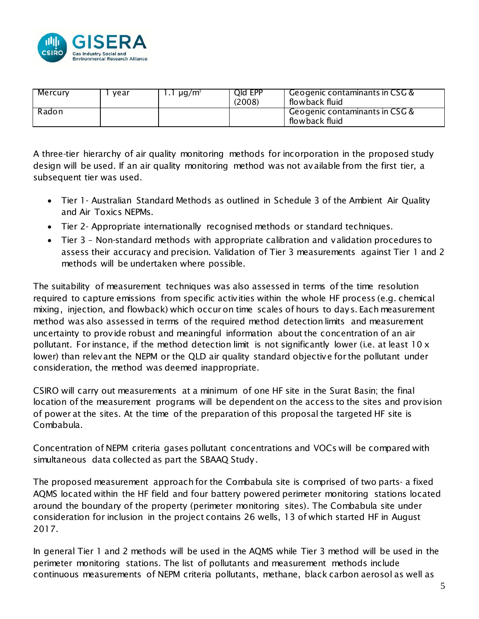

| Mercury | vear | ug/m <sup>3</sup> | Qld EPP<br>(2008) | Geogenic contaminants in CSG $\&$<br>flowback fluid                      |
|---------|------|-------------------|-------------------|--------------------------------------------------------------------------|
| Radon   |      |                   |                   | Geogenic contaminants in $\mathsf{CSG\,} \mathfrak{C}$<br>flowback fluid |

A three-tier hierarchy of air quality monitoring methods for incorporation in the proposed study design will be used. If an air quality monitoring method was not available from the first tier, a subsequent tier was used.

- Tier 1- Australian Standard Methods as outlined in Schedule 3 of the Ambient Air Quality and Air Toxics NEPMs.
- Tier 2- Appropriate internationally recognised methods or standard techniques.
- Tier 3 Non-standard methods with appropriate calibration and validation procedures to assess their accuracy and precision. Validation of Tier 3 measurements against Tier 1 and 2 methods will be undertaken where possible.

The suitability of measurement techniques was also assessed in terms of the time resolution required to capture emissions from specific activities within the whole HF process (e.g. chemical mixing, injection, and flowback) which occur on time scales of hours to days. Each measurement method was also assessed in terms of the required method detection limits and measurement uncertainty to provide robust and meaningful information about the concentration of an air pollutant. For instance, if the method detection limit is not significantly lower (i.e. at least 10 x lower) than relevant the NEPM or the QLD air quality standard objective for the pollutant under consideration, the method was deemed inappropriate.

CSIRO will carry out measurements at a minimum of one HF site in the Surat Basin; the final location of the measurement programs will be dependent on the access to the sites and provision of power at the sites. At the time of the preparation of this proposal the targeted HF site is Combabula.

Concentration of NEPM criteria gases pollutant concentrations and VOCs will be compared with simultaneous data collected as part the SBAAQ Study.

The proposed measurement approach for the Combabula site is comprised of two parts- a fixed AQMS located within the HF field and four battery powered perimeter monitoring stations located around the boundary of the property (perimeter monitoring sites). The Combabula site under consideration for inclusion in the project contains 26 wells, 13 of which started HF in August 2017.

In general Tier 1 and 2 methods will be used in the AQMS while Tier 3 method will be used in the perimeter monitoring stations. The list of pollutants and measurement methods include continuous measurements of NEPM criteria pollutants, methane, black carbon aerosol as well as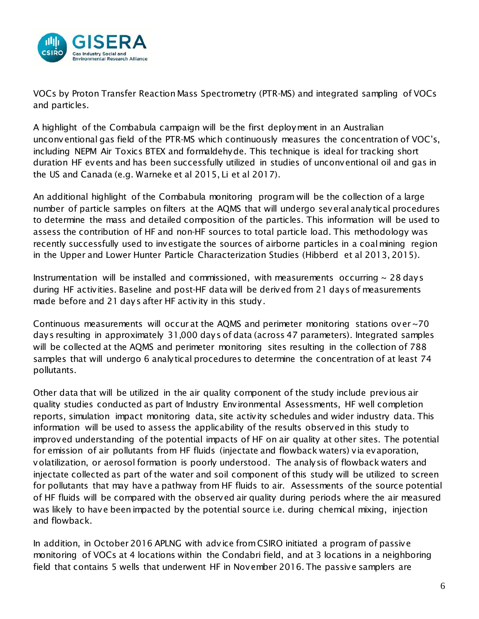

VOCs by Proton Transfer Reaction Mass Spectrometry (PTR-MS) and integrated sampling of VOCs and particles.

A highlight of the Combabula campaign will be the first deployment in an Australian unconventional gas field of the PTR-MS which continuously measures the concentration of VOC's, including NEPM Air Toxics BTEX and formaldehyde. This technique is ideal for tracking short duration HF events and has been successfully utilized in studies of unconventional oil and gas in the US and Canada (e.g. Warneke et al 2015, Li et al 2017).

An additional highlight of the Combabula monitoring program will be the collection of a large number of particle samples on filters at the AQMS that will undergo several analytical procedures to determine the mass and detailed composition of the particles. This information will be used to assess the contribution of HF and non-HF sources to total particle load. This methodology was recently successfully used to investigate the sources of airborne particles in a coal mining region in the Upper and Lower Hunter Particle Characterization Studies (Hibberd et al 2013, 2015).

Instrumentation will be installed and commissioned, with measurements occurring  $\sim$  28 days during HF activities. Baseline and post-HF data will be derived from 21 days of measurements made before and 21 days after HF activity in this study.

Continuous measurements will occur at the AQMS and perimeter monitoring stations over ~70 days resulting in approximately 31,000 days of data (across 47 parameters). Integrated samples will be collected at the AQMS and perimeter monitoring sites resulting in the collection of 788 samples that will undergo 6 analytical procedures to determine the concentration of at least 74 pollutants.

Other data that will be utilized in the air quality component of the study include previous air quality studies conducted as part of Industry Environmental Assessments, HF well completion reports, simulation impact monitoring data, site activity schedules and wider industry data. This information will be used to assess the applicability of the results observed in this study to improved understanding of the potential impacts of HF on air quality at other sites. The potential for emission of air pollutants from HF fluids (injectate and flowback waters) via evaporation, volatilization, or aerosol formation is poorly understood. The analysis of flowback waters and injectate collected as part of the water and soil component of this study will be utilized to screen for pollutants that may have a pathway from HF fluids to air. Assessments of the source potential of HF fluids will be compared with the observed air quality during periods where the air measured was likely to have been impacted by the potential source i.e. during chemical mixing, injection and flowback.

In addition, in October 2016 APLNG with advice from CSIRO initiated a program of passive monitoring of VOCs at 4 locations within the Condabri field, and at 3 locations in a neighboring field that contains 5 wells that underwent HF in November 2016. The passive samplers are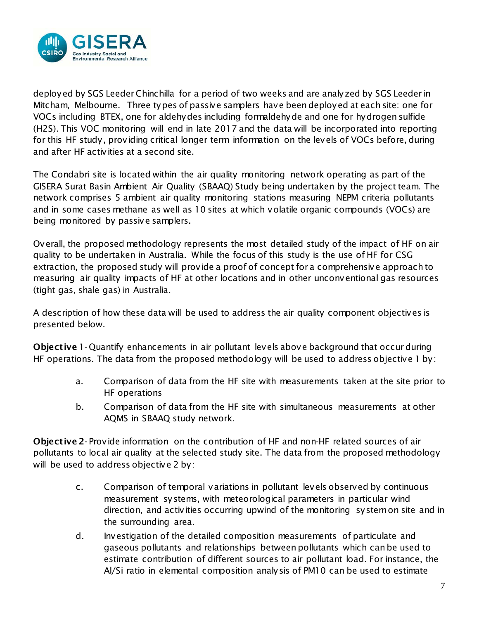

deployed by SGS Leeder Chinchilla for a period of two weeks and are analyzed by SGS Leeder in Mitcham, Melbourne. Three types of passive samplers have been deployed at each site: one for VOCs including BTEX, one for aldehydes including formaldehyde and one for hydrogen sulfide (H2S). This VOC monitoring will end in late 2017 and the data will be incorporated into reporting for this HF study, providing critical longer term information on the levels of VOCs before, during and after HF activities at a second site.

The Condabri site is located within the air quality monitoring network operating as part of the GISERA Surat Basin Ambient Air Quality (SBAAQ) Study being undertaken by the project team. The network comprises 5 ambient air quality monitoring stations measuring NEPM criteria pollutants and in some cases methane as well as 10 sites at which volatile organic compounds (VOCs) are being monitored by passive samplers.

Overall, the proposed methodology represents the most detailed study of the impact of HF on air quality to be undertaken in Australia. While the focus of this study is the use of HF for CSG extraction, the proposed study will provide a proof of concept for a comprehensive approach to measuring air quality impacts of HF at other locations and in other unconventional gas resources (tight gas, shale gas) in Australia.

A description of how these data will be used to address the air quality component objectives is presented below.

Objective 1- Quantify enhancements in air pollutant levels above background that occur during HF operations. The data from the proposed methodology will be used to address objective 1 by:

- a. Comparison of data from the HF site with measurements taken at the site prior to HF operations
- b. Comparison of data from the HF site with simultaneous measurements at other AQMS in SBAAQ study network.

Objective 2- Provide information on the contribution of HF and non-HF related sources of air pollutants to local air quality at the selected study site. The data from the proposed methodology will be used to address objective 2 by:

- c. Comparison of temporal variations in pollutant levels observed by continuous measurement systems, with meteorological parameters in particular wind direction, and activities occurring upwind of the monitoring system on site and in the surrounding area.
- d. Investigation of the detailed composition measurements of particulate and gaseous pollutants and relationships between pollutants which can be used to estimate contribution of different sources to air pollutant load. For instance, the Al/Si ratio in elemental composition analysis of PM10 can be used to estimate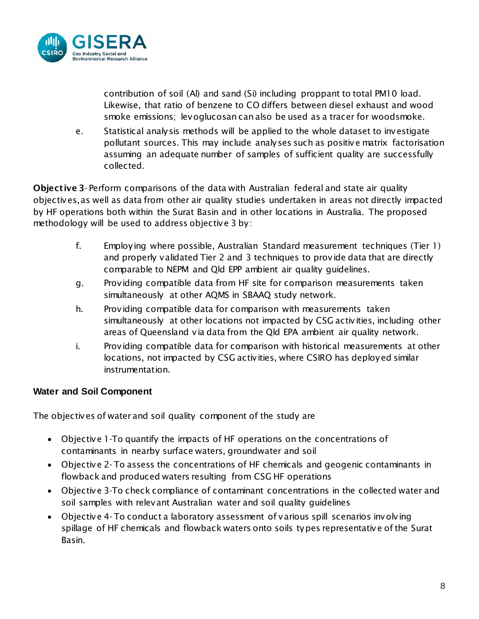

contribution of soil (Al) and sand (Si) including proppant to total PM10 load. Likewise, that ratio of benzene to CO differs between diesel exhaust and wood smoke emissions; levoglucosan can also be used as a tracer for woodsmoke.

e. Statistical analysis methods will be applied to the whole dataset to investigate pollutant sources. This may include analyses such as positive matrix factorisation assuming an adequate number of samples of sufficient quality are successfully collected.

Objective 3- Perform comparisons of the data with Australian federal and state air quality objectives, as well as data from other air quality studies undertaken in areas not directly impacted by HF operations both within the Surat Basin and in other locations in Australia. The proposed methodology will be used to address objective 3 by:

- f. Employing where possible, Australian Standard measurement techniques (Tier 1) and properly validated Tier 2 and 3 techniques to provide data that are directly comparable to NEPM and Qld EPP ambient air quality guidelines.
- g. Providing compatible data from HF site for comparison measurements taken simultaneously at other AQMS in SBAAQ study network.
- h. Providing compatible data for comparison with measurements taken simultaneously at other locations not impacted by CSG activities, including other areas of Queensland via data from the Qld EPA ambient air quality network.
- i. Providing compatible data for comparison with historical measurements at other locations, not impacted by CSG activities, where CSIRO has deployed similar instrumentation.

## **Water and Soil Component**

The objectives of water and soil quality component of the study are

- Objective 1-To quantify the impacts of HF operations on the concentrations of contaminants in nearby surface waters, groundwater and soil
- Objective 2- To assess the concentrations of HF chemicals and geogenic contaminants in flowback and produced waters resulting from CSG HF operations
- Objective 3-To check compliance of contaminant concentrations in the collected water and soil samples with relevant Australian water and soil quality guidelines
- Objective 4- To conduct a laboratory assessment of various spill scenarios involving spillage of HF chemicals and flowback waters onto soils types representative of the Surat Basin.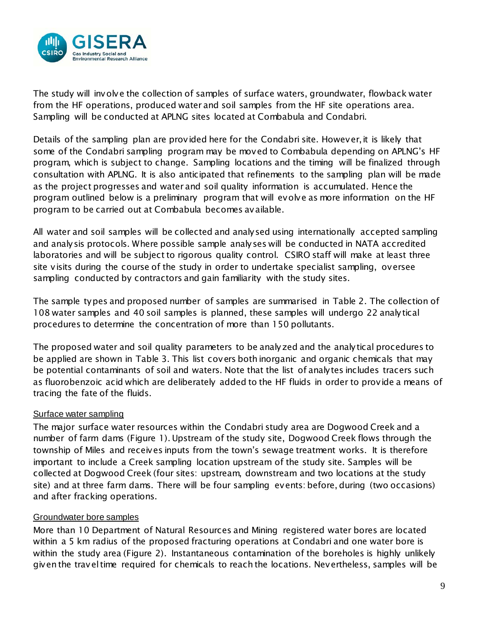

The study will involve the collection of samples of surface waters, groundwater, flowback water from the HF operations, produced water and soil samples from the HF site operations area. Sampling will be conducted at APLNG sites located at Combabula and Condabri.

Details of the sampling plan are provided here for the Condabri site. However, it is likely that some of the Condabri sampling program may be moved to Combabula depending on APLNG's HF program, which is subject to change. Sampling locations and the timing will be finalized through consultation with APLNG. It is also anticipated that refinements to the sampling plan will be made as the project progresses and water and soil quality information is accumulated. Hence the program outlined below is a preliminary program that will evolve as more information on the HF program to be carried out at Combabula becomes available.

All water and soil samples will be collected and analysed using internationally accepted sampling and analysis protocols. Where possible sample analyses will be conducted in NATA accredited laboratories and will be subject to rigorous quality control. CSIRO staff will make at least three site visits during the course of the study in order to undertake specialist sampling, oversee sampling conducted by contractors and gain familiarity with the study sites.

The sample types and proposed number of samples are summarised in [Table 2.](#page-11-0) The collection of 108 water samples and 40 soil samples is planned, these samples will undergo 22 analytical procedures to determine the concentration of more than 150 pollutants.

The proposed water and soil quality parameters to be analyzed and the analytical procedures to be applied are shown in [Table 3.](#page-12-0) This list covers both inorganic and organic chemicals that may be potential contaminants of soil and waters. Note that the list of analytes includes tracers such as fluorobenzoic acid which are deliberately added to the HF fluids in order to provide a means of tracing the fate of the fluids.

#### Surface water sampling

The major surface water resources within the Condabri study area are Dogwood Creek and a number of farm dams [\(Figure 1\)](#page-9-0). Upstream of the study site, Dogwood Creek flows through the township of Miles and receives inputs from the town's sewage treatment works. It is therefore important to include a Creek sampling location upstream of the study site. Samples will be collected at Dogwood Creek (four sites: upstream, downstream and two locations at the study site) and at three farm dams. There will be four sampling events: before, during (two occasions) and after fracking operations.

#### Groundwater bore samples

More than 10 Department of Natural Resources and Mining registered water bores are located within a 5 km radius of the proposed fracturing operations at Condabri and one water bore is within the study area [\(Figure 2\)](#page-9-1). Instantaneous contamination of the boreholes is highly unlikely given the travel time required for chemicals to reach the locations. Nevertheless, samples will be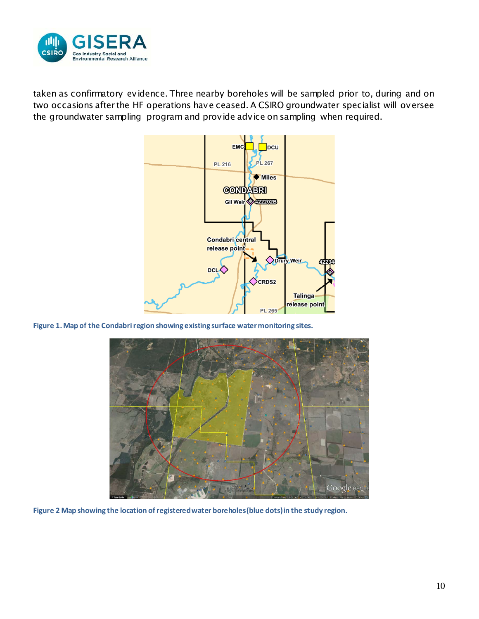

taken as confirmatory evidence. Three nearby boreholes will be sampled prior to, during and on two occasions after the HF operations have ceased. A CSIRO groundwater specialist will oversee the groundwater sampling program and provide advice on sampling when required.



<span id="page-9-0"></span>**Figure 1.Map of the Condabri region showing existing surface water monitoring sites.**



<span id="page-9-1"></span>**Figure 2 Map showing the location of registered water boreholes (blue dots) in the study region.**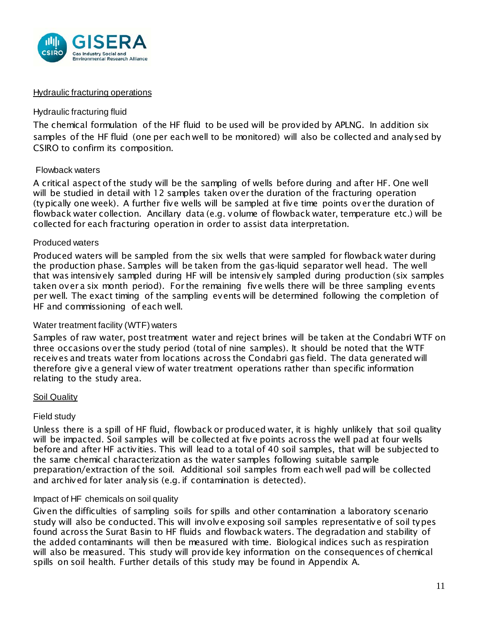

#### Hydraulic fracturing operations

#### Hydraulic fracturing fluid

The chemical formulation of the HF fluid to be used will be provided by APLNG. In addition six samples of the HF fluid (one per each well to be monitored) will also be collected and analysed by CSIRO to confirm its composition.

#### Flowback waters

A critical aspect of the study will be the sampling of wells before during and after HF. One well will be studied in detail with 12 samples taken over the duration of the fracturing operation (typically one week). A further five wells will be sampled at five time points over the duration of flowback water collection. Ancillary data (e.g. volume of flowback water, temperature etc.) will be collected for each fracturing operation in order to assist data interpretation.

#### Produced waters

Produced waters will be sampled from the six wells that were sampled for flowback water during the production phase. Samples will be taken from the gas-liquid separator well head. The well that was intensively sampled during HF will be intensively sampled during production (six samples taken over a six month period). For the remaining five wells there will be three sampling events per well. The exact timing of the sampling events will be determined following the completion of HF and commissioning of each well.

#### Water treatment facility (WTF) waters

Samples of raw water, post treatment water and reject brines will be taken at the Condabri WTF on three occasions over the study period (total of nine samples). It should be noted that the WTF receives and treats water from locations across the Condabri gas field. The data generated will therefore give a general view of water treatment operations rather than specific information relating to the study area.

#### Soil Quality

#### Field study

Unless there is a spill of HF fluid, flowback or produced water, it is highly unlikely that soil quality will be impacted. Soil samples will be collected at five points across the well pad at four wells before and after HF activities. This will lead to a total of 40 soil samples, that will be subjected to the same chemical characterization as the water samples following suitable sample preparation/extraction of the soil. Additional soil samples from each well pad will be collected and archived for later analysis (e.g. if contamination is detected).

#### Impact of HF chemicals on soil quality

Given the difficulties of sampling soils for spills and other contamination a laboratory scenario study will also be conducted. This will involve exposing soil samples representative of soil types found across the Surat Basin to HF fluids and flowback waters. The degradation and stability of the added contaminants will then be measured with time. Biological indices such as respiration will also be measured. This study will provide key information on the consequences of chemical spills on soil health. Further details of this study may be found in Appendix A.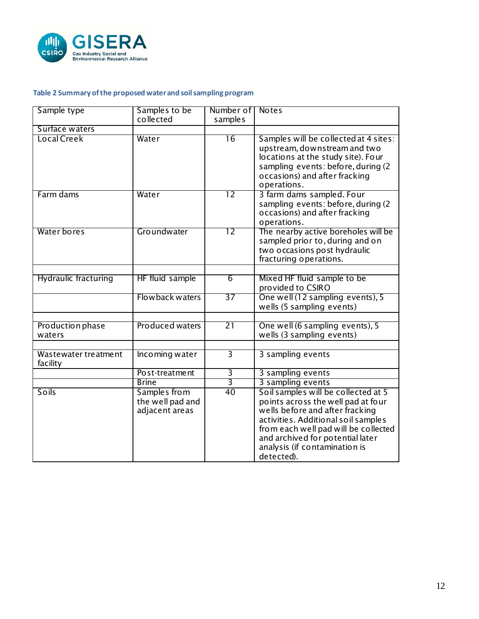

## <span id="page-11-0"></span>**Table 2 Summary of the proposed water and soil sampling program**

| Sample type                      | Samples to be                                      | Number of       | <b>Notes</b>                                                                                                                                                                                                                                                                   |
|----------------------------------|----------------------------------------------------|-----------------|--------------------------------------------------------------------------------------------------------------------------------------------------------------------------------------------------------------------------------------------------------------------------------|
|                                  | collected                                          | samples         |                                                                                                                                                                                                                                                                                |
| Surface waters                   |                                                    |                 |                                                                                                                                                                                                                                                                                |
| Local Creek                      | Water                                              | 16              | Samples will be collected at 4 sites:<br>upstream, downstream and two<br>locations at the study site). Four<br>sampling events: before, during (2)<br>occasions) and after fracking<br>operations.                                                                             |
| Farm dams                        | Water                                              | $\overline{12}$ | 3 farm dams sampled. Four<br>sampling events: before, during (2)<br>occasions) and after fracking<br>operations.                                                                                                                                                               |
| Water bores                      | Groundwater                                        | 12              | The nearby active boreholes will be<br>sampled prior to, during and on<br>two occasions post hydraulic<br>fracturing operations.                                                                                                                                               |
|                                  |                                                    |                 |                                                                                                                                                                                                                                                                                |
| Hydraulic fracturing             | HF fluid sample                                    | $\overline{6}$  | Mixed HF fluid sample to be<br>provided to CSIRO                                                                                                                                                                                                                               |
|                                  | Flowback waters                                    | 37              | One well (12 sampling events), 5<br>wells (5 sampling events)                                                                                                                                                                                                                  |
|                                  |                                                    |                 |                                                                                                                                                                                                                                                                                |
| Production phase<br>waters       | Produced waters                                    | $\overline{21}$ | One well (6 sampling events), 5<br>wells (3 sampling events)                                                                                                                                                                                                                   |
|                                  |                                                    |                 |                                                                                                                                                                                                                                                                                |
| Wastewater treatment<br>facility | Incoming water                                     | 3               | 3 sampling events                                                                                                                                                                                                                                                              |
|                                  | Post-treatment                                     | 3               | 3 sampling events                                                                                                                                                                                                                                                              |
|                                  | <b>Brine</b>                                       | $\overline{3}$  | 3 sampling events                                                                                                                                                                                                                                                              |
| Soils                            | Samples from<br>the well pad and<br>adjacent areas | 40              | Soil samples will be collected at 5<br>points across the well pad at four<br>wells before and after fracking<br>activities. Additional soil samples<br>from each well pad will be collected<br>and archived for potential later<br>analysis (if contamination is<br>detected). |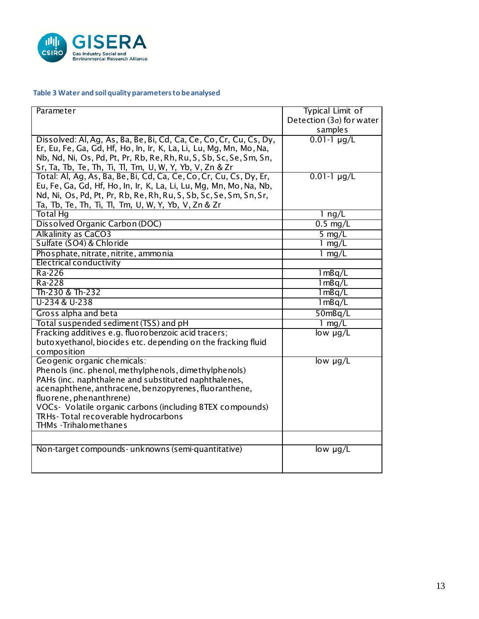

## <span id="page-12-0"></span>**Table 3 Water and soil quality parameters to be analysed**

| Parameter                                                                                                     | <b>Typical Limit of</b>         |
|---------------------------------------------------------------------------------------------------------------|---------------------------------|
|                                                                                                               | Detection $(3\sigma)$ for water |
|                                                                                                               | samples                         |
| Dissolved: Al, Ag, As, Ba, Be, Bi, Cd, Ca, Ce, Co, Cr, Cu, Cs, Dy,                                            | $0.01 - 1 \mu q/L$              |
| Er, Eu, Fe, Ga, Gd, Hf, Ho, In, Ir, K, La, Li, Lu, Mg, Mn, Mo, Na,                                            |                                 |
| Nb, Nd, Ni, Os, Pd, Pt, Pr, Rb, Re, Rh, Ru, S, Sb, Sc, Se, Sm, Sn,                                            |                                 |
| Sr, Ta, Tb, Te, Th, Ti, Tl, Tm, U, W, Y, Yb, V, Zn & Zr                                                       |                                 |
| Total: Al, Ag, As, Ba, Be, Bi, Cd, Ca, Ce, Co, Cr, Cu, Cs, Dy, Er,                                            | $0.01 - 1 \mu g/L$              |
| Eu, Fe, Ga, Gd, Hf, Ho, In, Ir, K, La, Li, Lu, Mg, Mn, Mo, Na, Nb,                                            |                                 |
| Nd, Ni, Os, Pd, Pt, Pr, Rb, Re, Rh, Ru, S, Sb, Sc, Se, Sm, Sn, Sr,                                            |                                 |
| Ta, Tb, Te, Th, Ti, Tl, Tm, U, W, Y, Yb, V, Zn & Zr                                                           |                                 |
| <b>Total Hg</b>                                                                                               | 1 $\frac{ng}{L}$                |
| Dissolved Organic Carbon (DOC)                                                                                | $0.5$ mg/L                      |
| <b>Alkalinity as CaCO3</b>                                                                                    | 5 $mg/L$                        |
| Sulfate (SO4) & Chloride                                                                                      | 1 $mg/L$                        |
| Phosphate, nitrate, nitrite, ammonia                                                                          | 1 $mg/L$                        |
| Electrical conductivity                                                                                       |                                 |
| $\overline{Ra-226}$                                                                                           | 1mBq/L                          |
| Ra-228                                                                                                        | $1 \overline{mBq/L}$            |
| Th-230 & Th-232                                                                                               | 1mBq/L                          |
| U-234 & U-238                                                                                                 | 1 mBq/L                         |
| Gross alpha and beta                                                                                          | 50mBq/L                         |
| Total suspended sediment (TSS) and pH                                                                         | $1$ mg/L                        |
| Fracking additives e.g. fluorobenzoic acid tracers;                                                           | low $\mu q/L$                   |
| butoxyethanol, biocides etc. depending on the fracking fluid                                                  |                                 |
| composition                                                                                                   |                                 |
| Geogenic organic chemicals:                                                                                   | $low$ $\mu$ g/L                 |
| Phenols (inc. phenol, methylphenols, dimethylphenols)                                                         |                                 |
| PAHs (inc. naphthalene and substituted naphthalenes,<br>acenaphthene, anthracene, benzopyrenes, fluoranthene, |                                 |
| fluorene, phenanthrene)                                                                                       |                                 |
| VOCs - Volatile organic carbons (including BTEX compounds)                                                    |                                 |
| TRHs-Total recoverable hydrocarbons                                                                           |                                 |
| THMs - Trihalo methanes                                                                                       |                                 |
|                                                                                                               |                                 |
| Non-target compounds- unknowns (semi-quantitative)                                                            | $low$ $\mu$ g/L                 |
|                                                                                                               |                                 |
|                                                                                                               |                                 |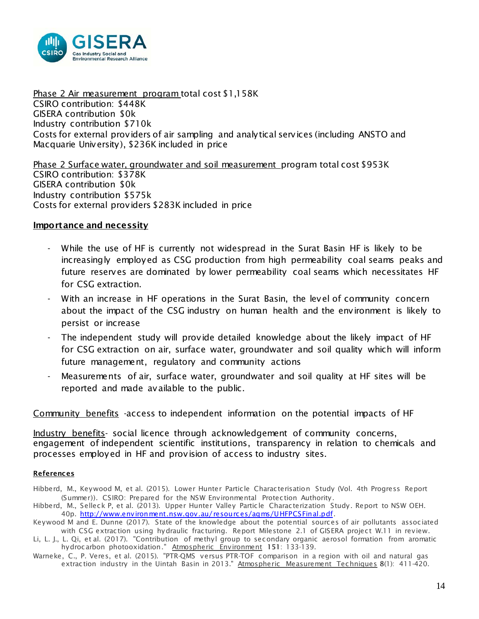

Phase 2 Air measurement program total cost \$1,158K CSIRO contribution: \$448K GISERA contribution \$0k Industry contribution \$710k Costs for external providers of air sampling and analytical services (including ANSTO and Macquarie University), \$236K included in price

Phase 2 Surface water, groundwater and soil measurement program total cost \$953K CSIRO contribution: \$378K GISERA contribution \$0k Industry contribution \$575k Costs for external providers \$283K included in price

#### Importance and necessity

- While the use of HF is currently not widespread in the Surat Basin HF is likely to be increasingly employed as CSG production from high permeability coal seams peaks and future reserves are dominated by lower permeability coal seams which necessitates HF for CSG extraction.
- With an increase in HF operations in the Surat Basin, the level of community concern about the impact of the CSG industry on human health and the environment is likely to persist or increase
- The independent study will provide detailed knowledge about the likely impact of HF for CSG extraction on air, surface water, groundwater and soil quality which will inform future management, regulatory and community actions
- Measurements of air, surface water, groundwater and soil quality at HF sites will be reported and made available to the public.

Community benefits -access to independent information on the potential impacts of HF

Industry benefits- social licence through acknowledgement of community concerns, engagement of independent scientific institutions, transparency in relation to chemicals and processes employed in HF and provision of access to industry sites.

#### **References**

Hibberd, M., Keywood M, et al. (2015). Lower Hunter Particle Characterisation Study (Vol. 4th Progress Report (Summer)). CSIRO: Prepared for the NSW Environmental Protection Authority.

Hibberd, M., Selleck P, et al. (2013). Upper Hunter Valley Particle Characterization Study. Report to NSW OEH. 40p. [http://www.environment.nsw.gov.au/resources/aqms/UHFPCSFinal.pdf.](http://www.environment.nsw.gov.au/resources/aqms/UHFPCSFinal.pdf)

Keywood M and E. Dunne (2017). State of the knowledge about the potential sources of air pollutants associated with CSG extraction using hydraulic fracturing. Report Milestone 2.1 of GISERA project W.11 in review.

Li, L. J., L. Qi, et al. (2017). "Contribution of methyl group to secondary organic aerosol formation from aromatic hydrocarbon photooxidation." Atmospheric Environment 151: 133-139.

Warneke, C., P. Veres, et al. (2015). "PTR-QMS versus PTR-TOF comparison in a region with oil and natural gas extraction industry in the Uintah Basin in 2013." Atmospheric Measurement Techniques 8(1): 411-420.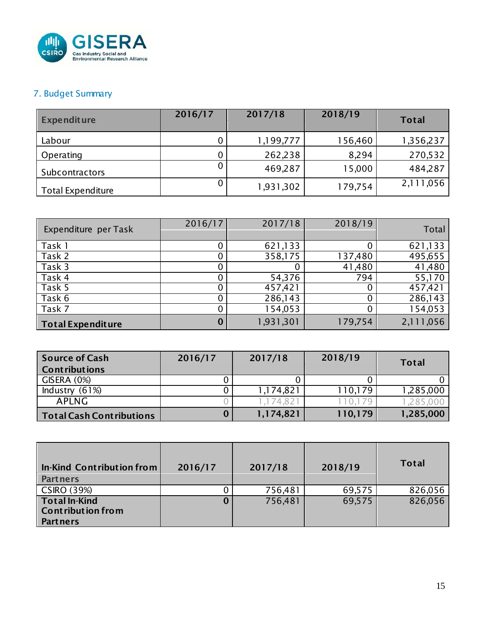

## 7. Budget Summary

| <b>Expenditure</b>       | 2016/17 | 2017/18   | 2018/19 | <b>Total</b> |
|--------------------------|---------|-----------|---------|--------------|
| Labour                   |         | 1,199,777 | 156,460 | 1,356,237    |
| Operating                |         | 262,238   | 8,294   | 270,532      |
| Subcontractors           |         | 469,287   | 15,000  | 484,287      |
| <b>Total Expenditure</b> |         | 1,931,302 | 179,754 | 2,111,056    |

| Expenditure per Task     | 2016/17 | 2017/18   | 2018/19 | Total     |
|--------------------------|---------|-----------|---------|-----------|
| Task 1                   |         | 621,133   |         | 621,133   |
| Task 2                   |         | 358,175   | 137,480 | 495,655   |
| Task 3                   |         |           | 41,480  | 41,480    |
| Task 4                   |         | 54,376    | 794     | 55,170    |
| Task 5                   |         | 457,421   | 0       | 457,421   |
| Task 6                   |         | 286,143   |         | 286,143   |
| Task 7                   |         | 154,053   | 0       | 154,053   |
| <b>Total Expenditure</b> |         | 1,931,301 | 179,754 | 2,111,056 |

| <b>Source of Cash</b><br><b>Contributions</b> | 2016/17 | 2017/18   | 2018/19 | <b>Total</b> |
|-----------------------------------------------|---------|-----------|---------|--------------|
| GISERA (0%)                                   |         |           |         |              |
| Industry $(61%)$                              |         | 1,174,821 | 110,179 | 1,285,000    |
| APLNG                                         |         | .174.821  |         | .285.000     |
| <b>Total Cash Contributions</b>               |         | 1,174,821 | 110,179 | 1,285,000    |

| In-Kind Contribution from<br><b>Partners</b>                        | 2016/17 | 2017/18 | 2018/19 | <b>Total</b> |
|---------------------------------------------------------------------|---------|---------|---------|--------------|
| <b>CSIRO (39%)</b>                                                  |         | 756,481 | 69,575  | 826,056      |
| <b>Total In-Kind</b><br><b>Contribution from</b><br><b>Partners</b> | Ő       | 756,481 | 69,575  | 826,056      |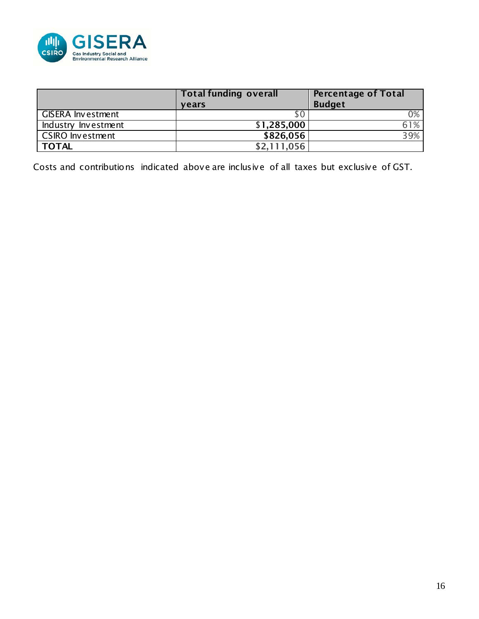

|                          | <b>Total funding overall</b><br><b>vears</b> | <b>Percentage of Total</b><br><b>Budget</b> |
|--------------------------|----------------------------------------------|---------------------------------------------|
| <b>GISERA Investment</b> | S C                                          | 0%                                          |
| Industry Investment      | \$1,285,000                                  | 61%                                         |
| <b>CSIRO Investment</b>  | \$826,056                                    | 39%                                         |
| <b>TOTAL</b>             | \$2.111.056                                  |                                             |

Costs and contributions indicated above are inclusive of all taxes but exclusive of GST.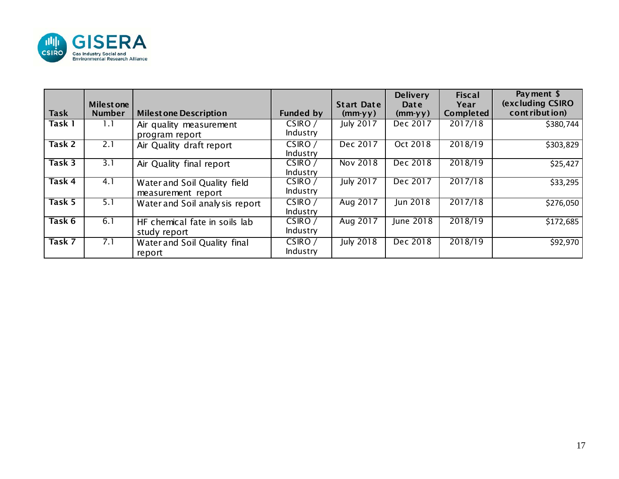

| <b>Task</b>         | <b>Milestone</b><br><b>Number</b> | <b>Milest one Description</b>                      | <b>Funded by</b>    | <b>Start Date</b><br>$(mm-yy)$ | <b>Delivery</b><br>Date<br>$(mm-yy)$ | <b>Fiscal</b><br>Year<br>Completed | Payment \$<br><b>(excluding CSIRO)</b><br>contribution) |
|---------------------|-----------------------------------|----------------------------------------------------|---------------------|--------------------------------|--------------------------------------|------------------------------------|---------------------------------------------------------|
| Task $\overline{1}$ | L.I                               | Air quality measurement<br>program report          | CSIRO/<br>Industry  | <b>July 2017</b>               | Dec 2017                             | 2017/18                            | \$380,744                                               |
| Task 2              | 2.1                               | Air Quality draft report                           | CSIRO /<br>Industry | Dec 2017                       | Oct 2018                             | 2018/19                            | \$303,829                                               |
| Task 3              | 3.1                               | Air Quality final report                           | CSIRO/<br>Industry  | Nov 2018                       | Dec 2018                             | 2018/19                            | \$25,427                                                |
| Task 4              | 4.1                               | Water and Soil Quality field<br>measurement report | CSIRO /<br>Industry | <b>July 2017</b>               | Dec 2017                             | 2017/18                            | \$33,295                                                |
| Task 5              | 5.1                               | Water and Soil analy sis report                    | CSIRO /<br>Industry | Aug 2017                       | Jun 2018                             | 2017/18                            | \$276,050                                               |
| Task 6              | 6.1                               | HF chemical fate in soils lab<br>study report      | CSIRO/<br>Industry  | Aug 2017                       | June 2018                            | 2018/19                            | \$172,685                                               |
| Task 7              | 7.1                               | Water and Soil Quality final<br>report             | CSIRO/<br>Industry  | <b>July 2018</b>               | Dec 2018                             | 2018/19                            | \$92,970                                                |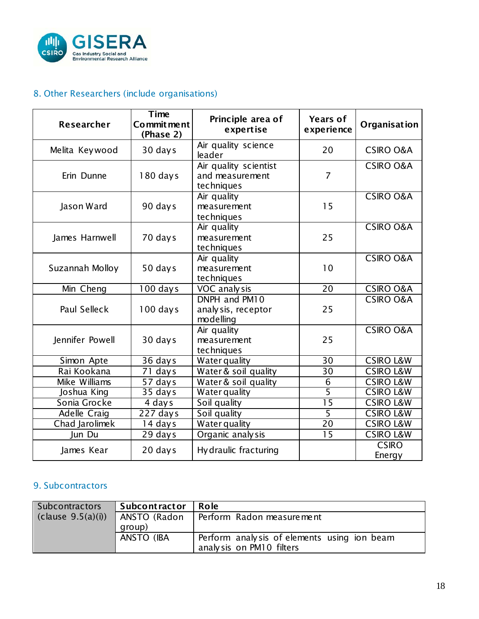

## 8. Other Researchers (include organisations)

| Researcher          | Time<br>Commit ment<br>(Phase 2) | Principle area of<br>expertise                         | <b>Years of</b><br>experience | Organisation           |
|---------------------|----------------------------------|--------------------------------------------------------|-------------------------------|------------------------|
| Melita Keywood      | 30 days                          | Air quality science<br>leader                          | 20                            | <b>CSIRO O&amp;A</b>   |
| Erin Dunne          | 180 days                         | Air quality scientist<br>and measurement<br>techniques | $\overline{7}$                | <b>CSIRO O&amp;A</b>   |
| Jason Ward          | 90 days                          | Air quality<br>measurement<br>techniques               | 15                            | <b>CSIRO O&amp;A</b>   |
| James Harnwell      | 70 days                          | Air quality<br>measurement<br>techniques               | 25                            | <b>CSIRO O&amp;A</b>   |
| Suzannah Molloy     | 50 days                          | Air quality<br>measurement<br>techniques               | 10                            | <b>CSIRO O&amp;A</b>   |
| Min Cheng           | 100 days                         | VOC analy sis                                          | 20                            | <b>CSIRO O&amp;A</b>   |
| <b>Paul Selleck</b> | $100$ days                       | DNPH and PM10<br>analy sis, receptor<br>modelling      | 25                            | <b>CSIRO O&amp;A</b>   |
| Jennifer Powell     | 30 days                          | Air quality<br>measurement<br>techniques               | 25                            | <b>CSIRO O&amp;A</b>   |
| Simon Apte          | 36 days                          | Water quality                                          | 30                            | <b>CSIRO L&amp;W</b>   |
| Rai Kookana         | 71 days                          | Water & soil quality                                   | 30                            | <b>CSIRO L&amp;W</b>   |
| Mike Williams       | 57 days                          | Water & soil quality                                   | 6                             | <b>CSIRO L&amp;W</b>   |
| Joshua King         | 35 days                          | <b>Water quality</b>                                   | $\overline{5}$                | <b>CSIRO L&amp;W</b>   |
| Sonia Grocke        | 4 days                           | Soil quality                                           | $\overline{15}$               | <b>CSIRO L&amp;W</b>   |
| <b>Adelle Craig</b> | $227$ days                       | Soil quality                                           | $\overline{5}$                | <b>CSIRO L&amp;W</b>   |
| Chad Jarolimek      | 14 days                          | Water quality                                          | 20                            | <b>CSIRO L&amp;W</b>   |
| Jun Du              | 29 days                          | Organic analy sis                                      | $\overline{15}$               | <b>CSIRO L&amp;W</b>   |
| James Kear          | 20 days                          | Hy draulic fracturing                                  |                               | <b>CSIRO</b><br>Energy |

## 9. Subcontractors

| Subcontractors   | <b>Subcontractor</b> | l Role                                      |
|------------------|----------------------|---------------------------------------------|
| clause 9.5(a)(i) | ANSTO (Radon         | Perform Radon measurement                   |
|                  | group)               |                                             |
|                  | ANSTO (IBA           | Perform analysis of elements using ion beam |
|                  |                      | analysis on PM10 filters                    |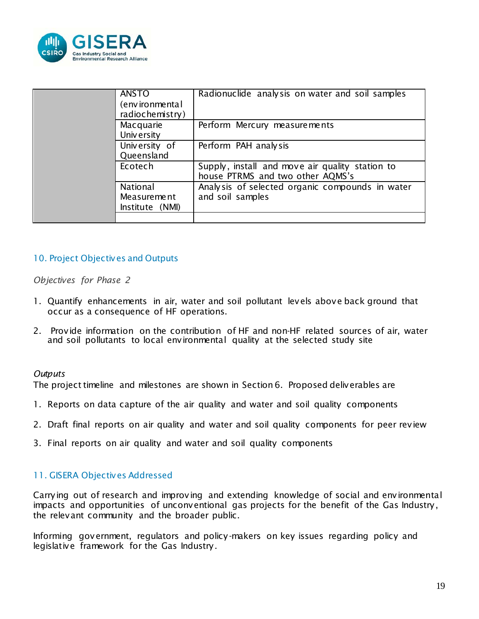

| <b>ANSTO</b><br>(environmental<br>radiochemistry) | Radionuclide analysis on water and soil samples                                     |
|---------------------------------------------------|-------------------------------------------------------------------------------------|
| Macquarie<br>University                           | Perform Mercury measurements                                                        |
| University of<br>Queensland                       | Perform PAH analysis                                                                |
| Ecotech                                           | Supply, install and move air quality station to<br>house PTRMS and two other AQMS's |
| National<br><b>Measurement</b><br>Institute (NMI) | Analysis of selected organic compounds in water<br>and soil samples                 |
|                                                   |                                                                                     |

## 10. Project Objectives and Outputs

#### *Objectives for Phase 2*

- 1. Quantify enhancements in air, water and soil pollutant levels above back ground that occur as a consequence of HF operations.
- 2. Provide information on the contribution of HF and non-HF related sources of air, water and soil pollutants to local environmental quality at the selected study site

#### *Outputs*

The project timeline and milestones are shown in Section 6. Proposed deliverables are

- 1. Reports on data capture of the air quality and water and soil quality components
- 2. Draft final reports on air quality and water and soil quality components for peer review
- 3. Final reports on air quality and water and soil quality components

#### 11. GISERA Objectives Addressed

Carrying out of research and improving and extending knowledge of social and environmental impacts and opportunities of unconventional gas projects for the benefit of the Gas Industry, the relevant community and the broader public.

Informing government, regulators and policy-makers on key issues regarding policy and legislative framework for the Gas Industry.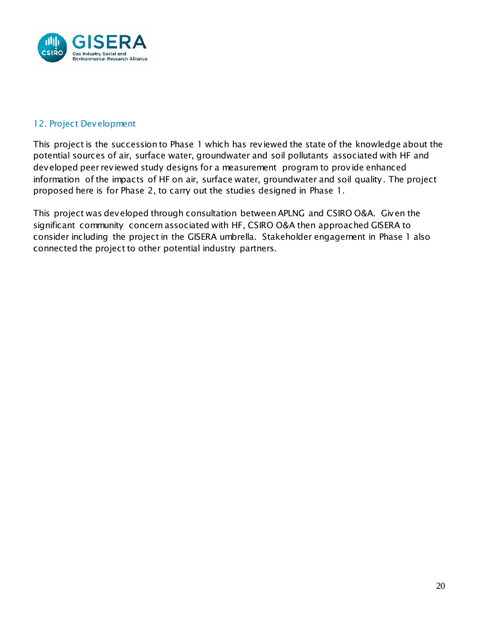

## 12. Project Development

This project is the succession to Phase 1 which has reviewed the state of the knowledge about the potential sources of air, surface water, groundwater and soil pollutants associated with HF and developed peer reviewed study designs for a measurement program to provide enhanced information of the impacts of HF on air, surface water, groundwater and soil quality. The project proposed here is for Phase 2, to carry out the studies designed in Phase 1.

This project was developed through consultation between APLNG and CSIRO O&A. Given the significant community concern associated with HF, CSIRO O&A then approached GISERA to consider including the project in the GISERA umbrella. Stakeholder engagement in Phase 1 also connected the project to other potential industry partners.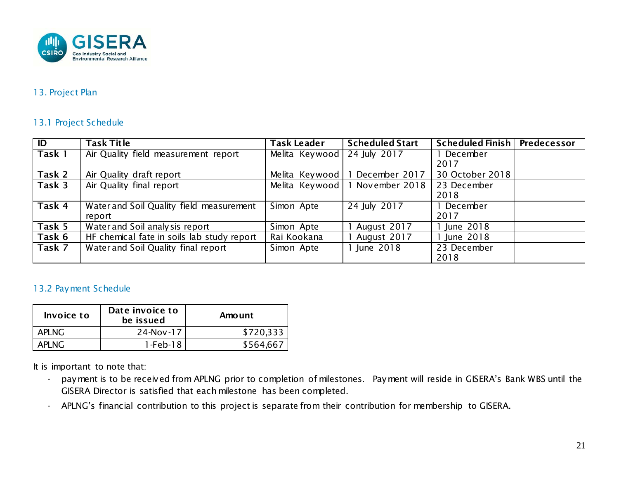

#### 13. Project Plan

#### 13.1 Project Schedule

| $\overline{\mathsf{I}}$ | <b>Task Title</b>                          | Task Leader                 | <b>Scheduled Start</b> | Scheduled Finish   Predecessor |  |
|-------------------------|--------------------------------------------|-----------------------------|------------------------|--------------------------------|--|
| Task 1                  | Air Quality field measurement report       | Melita Keywood 24 July 2017 |                        | 1 December                     |  |
|                         |                                            |                             |                        | 2017                           |  |
| Task 2                  | Air Quality draft report                   | Melita Keywood              | December 2017          | 30 October 2018                |  |
| Task 3                  | Air Quality final report                   | Melita Keywood              | 1 November 2018        | 23 December                    |  |
|                         |                                            |                             |                        | 2018                           |  |
| Task 4                  | Water and Soil Quality field measurement   | Simon Apte                  | 24 July 2017           | 1 December                     |  |
|                         | report                                     |                             |                        | 2017                           |  |
| Task 5                  | Water and Soil analysis report             | Simon Apte                  | August 2017            | 1 June 2018                    |  |
| Task 6                  | HF chemical fate in soils lab study report | Rai Kookana                 | August 2017            | 1 June 2018                    |  |
| Task 7                  | Water and Soil Quality final report        | Simon Apte                  | 1 June 2018            | 23 December                    |  |
|                         |                                            |                             |                        | 2018                           |  |

## 13.2 Payment Schedule

| Invoice to | Date invoice to<br>be issued | Amount    |
|------------|------------------------------|-----------|
| APLNG.     | 24-Nov-17                    | \$720,333 |
| API NG.    | $1$ -Feb- $18$               | \$564.667 |

It is important to note that:

- payment is to be received from APLNG prior to completion of milestones. Payment will reside in GISERA's Bank WBS until the GISERA Director is satisfied that each milestone has been completed.
- APLNG's financial contribution to this project is separate from their contribution for membership to GISERA.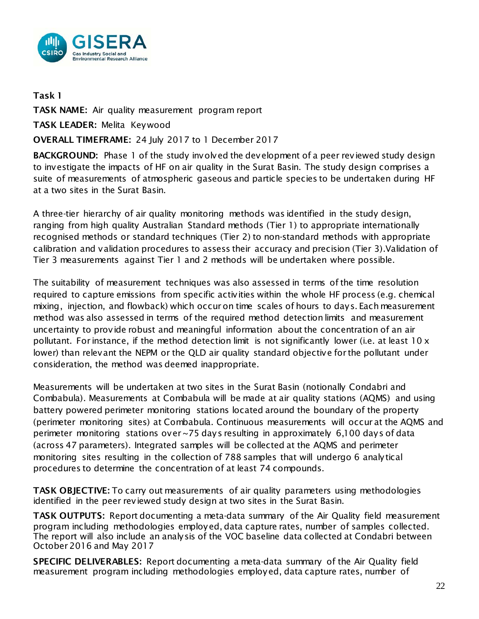

## Task 1

TASK NAME: Air quality measurement program report

TASK LEADER: Melita Keywood

## OVERALL TIMEFRAME: 24 July 2017 to 1 December 2017

BACKGROUND: Phase 1 of the study involved the development of a peer reviewed study design to investigate the impacts of HF on air quality in the Surat Basin. The study design comprises a suite of measurements of atmospheric gaseous and particle species to be undertaken during HF at a two sites in the Surat Basin.

A three-tier hierarchy of air quality monitoring methods was identified in the study design, ranging from high quality Australian Standard methods (Tier 1) to appropriate internationally recognised methods or standard techniques (Tier 2) to non-standard methods with appropriate calibration and validation procedures to assess their accuracy and precision (Tier 3).Validation of Tier 3 measurements against Tier 1 and 2 methods will be undertaken where possible.

The suitability of measurement techniques was also assessed in terms of the time resolution required to capture emissions from specific activities within the whole HF process (e.g. chemical mixing, injection, and flowback) which occur on time scales of hours to days. Each measurement method was also assessed in terms of the required method detection limits and measurement uncertainty to provide robust and meaningful information about the concentration of an air pollutant. For instance, if the method detection limit is not significantly lower (i.e. at least  $10 \times$ lower) than relevant the NEPM or the QLD air quality standard objective for the pollutant under consideration, the method was deemed inappropriate.

Measurements will be undertaken at two sites in the Surat Basin (notionally Condabri and Combabula). Measurements at Combabula will be made at air quality stations (AQMS) and using battery powered perimeter monitoring stations located around the boundary of the property (perimeter monitoring sites) at Combabula. Continuous measurements will occur at the AQMS and perimeter monitoring stations over ~75 days resulting in approximately 6,100 days of data (across 47 parameters). Integrated samples will be collected at the AQMS and perimeter monitoring sites resulting in the collection of 788 samples that will undergo 6 analytical procedures to determine the concentration of at least 74 compounds.

TASK OBJECTIVE: To carry out measurements of air quality parameters using methodologies identified in the peer reviewed study design at two sites in the Surat Basin.

TASK OUTPUTS: Report documenting a meta-data summary of the Air Quality field measurement program including methodologies employed, data capture rates, number of samples collected. The report will also include an analysis of the VOC baseline data collected at Condabri between October 2016 and May 2017

SPECIFIC DELIVERABLES: Report documenting a meta-data summary of the Air Quality field measurement program including methodologies employed, data capture rates, number of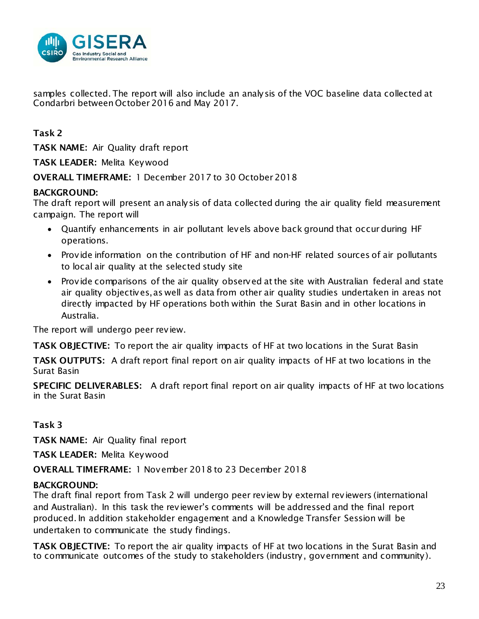

samples collected. The report will also include an analysis of the VOC baseline data collected at Condarbri between October 2016 and May 2017.

Task 2

TASK NAME: Air Quality draft report

TASK LEADER: Melita Keywood

OVERALL TIMEFRAME: 1 December 2017 to 30 October 2018

## BACKGROUND:

The draft report will present an analysis of data collected during the air quality field measurement campaign. The report will

- Quantify enhancements in air pollutant levels above back ground that occur during HF operations.
- Provide information on the contribution of HF and non-HF related sources of air pollutants to local air quality at the selected study site
- Provide comparisons of the air quality observed at the site with Australian federal and state air quality objectives,as well as data from other air quality studies undertaken in areas not directly impacted by HF operations both within the Surat Basin and in other locations in Australia.

The report will undergo peer review.

TASK OBJECTIVE: To report the air quality impacts of HF at two locations in the Surat Basin

TASK OUTPUTS: A draft report final report on air quality impacts of HF at two locations in the Surat Basin

SPECIFIC DELIVERABLES: A draft report final report on air quality impacts of HF at two locations in the Surat Basin

## Task 3

TASK NAME: Air Quality final report

TASK LEADER: Melita Keywood

OVERALL TIMEFRAME: 1 November 2018 to 23 December 2018

## BACKGROUND:

The draft final report from Task 2 will undergo peer review by external reviewers (international and Australian). In this task the reviewer's comments will be addressed and the final report produced. In addition stakeholder engagement and a Knowledge Transfer Session will be undertaken to communicate the study findings.

TASK OBJECTIVE: To report the air quality impacts of HF at two locations in the Surat Basin and to communicate outcomes of the study to stakeholders (industry, government and community).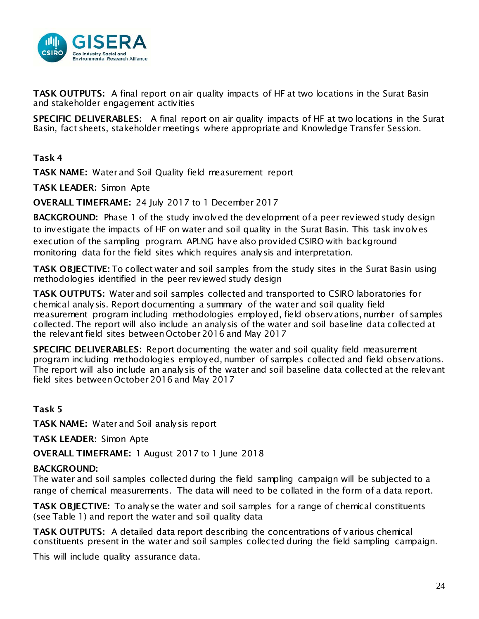

TASK OUTPUTS: A final report on air quality impacts of HF at two locations in the Surat Basin and stakeholder engagement activities

SPECIFIC DELIVERABLES: A final report on air quality impacts of HF at two locations in the Surat Basin, fact sheets, stakeholder meetings where appropriate and Knowledge Transfer Session.

Task 4

TASK NAME: Water and Soil Quality field measurement report

TASK LEADER: Simon Apte

OVERALL TIMEFRAME: 24 July 2017 to 1 December 2017

BACKGROUND: Phase 1 of the study involved the development of a peer reviewed study design to investigate the impacts of HF on water and soil quality in the Surat Basin. This task involves execution of the sampling program. APLNG have also provided CSIRO with background monitoring data for the field sites which requires analysis and interpretation.

TASK OBJECTIVE: To collect water and soil samples from the study sites in the Surat Basin using methodologies identified in the peer reviewed study design

TASK OUTPUTS: Water and soil samples collected and transported to CSIRO laboratories for chemical analysis. Report documenting a summary of the water and soil quality field measurement program including methodologies employed, field observations, number of samples collected. The report will also include an analysis of the water and soil baseline data collected at the relevant field sites between October 2016 and May 2017

SPECIFIC DELIVERABLES: Report documenting the water and soil quality field measurement program including methodologies employed, number of samples collected and field observations. The report will also include an analysis of the water and soil baseline data collected at the relevant field sites between October 2016 and May 2017

Task 5

TASK NAME: Water and Soil analysis report

TASK LEADER: Simon Apte

OVERALL TIMEFRAME: 1 August 2017 to 1 June 2018

#### BACKGROUND:

The water and soil samples collected during the field sampling campaign will be subjected to a range of chemical measurements. The data will need to be collated in the form of a data report.

TASK OBJECTIVE: To analyse the water and soil samples for a range of chemical constituents (see Table 1) and report the water and soil quality data

TASK OUTPUTS: A detailed data report describing the concentrations of various chemical constituents present in the water and soil samples collected during the field sampling campaign.

This will include quality assurance data.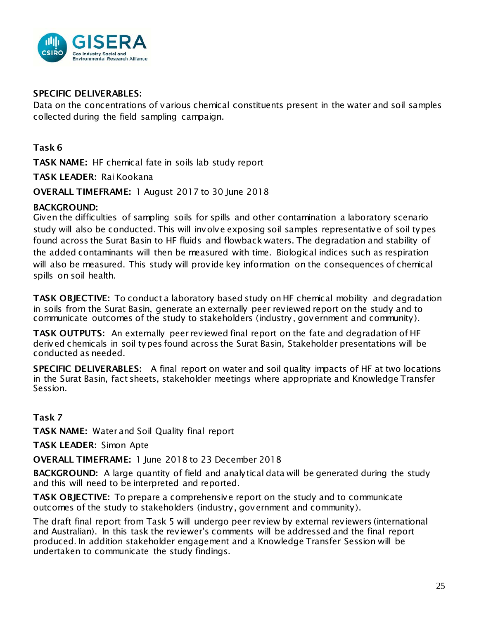

#### SPECIFIC DELIVERABLES:

Data on the concentrations of various chemical constituents present in the water and soil samples collected during the field sampling campaign.

## Task 6

TASK NAME: HF chemical fate in soils lab study report

TASK LEADER: Rai Kookana

OVERALL TIMEFRAME: 1 August 2017 to 30 June 2018

#### BACKGROUND:

Given the difficulties of sampling soils for spills and other contamination a laboratory scenario study will also be conducted. This will involve exposing soil samples representative of soil types found across the Surat Basin to HF fluids and flowback waters. The degradation and stability of the added contaminants will then be measured with time. Biological indices such as respiration will also be measured. This study will provide key information on the consequences of chemical spills on soil health.

TASK OBJECTIVE: To conduct a laboratory based study on HF chemical mobility and degradation in soils from the Surat Basin, generate an externally peer reviewed report on the study and to communicate outcomes of the study to stakeholders (industry, government and community).

TASK OUTPUTS: An externally peer reviewed final report on the fate and degradation of HF derived chemicals in soil types found across the Surat Basin, Stakeholder presentations will be conducted as needed.

SPECIFIC DELIVERABLES: A final report on water and soil quality impacts of HF at two locations in the Surat Basin, fact sheets, stakeholder meetings where appropriate and Knowledge Transfer Session.

## Task 7

TASK NAME: Water and Soil Quality final report

TASK LEADER: Simon Apte

OVERALL TIMEFRAME: 1 June 2018 to 23 December 2018

BACKGROUND: A large quantity of field and analytical data will be generated during the study and this will need to be interpreted and reported.

TASK OBJECTIVE: To prepare a comprehensive report on the study and to communicate outcomes of the study to stakeholders (industry, government and community).

The draft final report from Task 5 will undergo peer review by external reviewers (international and Australian). In this task the reviewer's comments will be addressed and the final report produced. In addition stakeholder engagement and a Knowledge Transfer Session will be undertaken to communicate the study findings.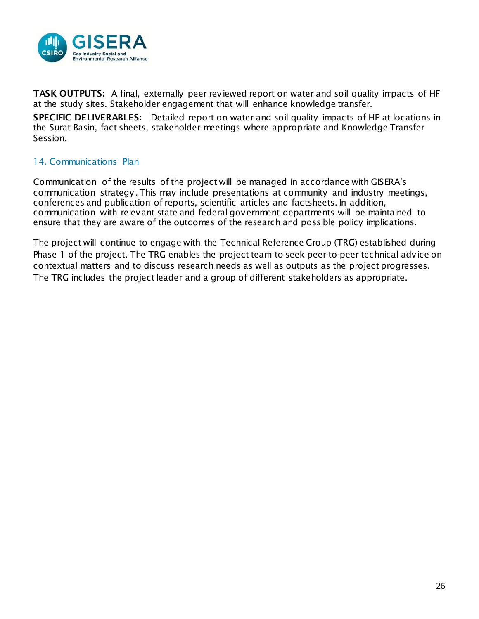

TASK OUTPUTS: A final, externally peer reviewed report on water and soil quality impacts of HF at the study sites. Stakeholder engagement that will enhance knowledge transfer.

SPECIFIC DELIVERABLES: Detailed report on water and soil quality impacts of HF at locations in the Surat Basin, fact sheets, stakeholder meetings where appropriate and Knowledge Transfer Session.

## 14. Communications Plan

Communication of the results of the project will be managed in accordance with GISERA's communication strategy. This may include presentations at community and industry meetings, conferences and publication of reports, scientific articles and factsheets. In addition, communication with relevant state and federal government departments will be maintained to ensure that they are aware of the outcomes of the research and possible policy implications.

The project will continue to engage with the Technical Reference Group (TRG) established during Phase 1 of the project. The TRG enables the project team to seek peer-to-peer technical advice on contextual matters and to discuss research needs as well as outputs as the project progresses. The TRG includes the project leader and a group of different stakeholders as appropriate.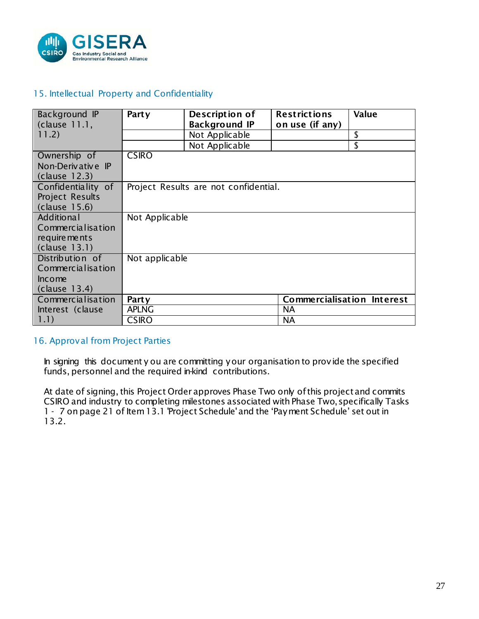

#### 15. Intellectual Property and Confidentiality

| Background IP<br>$clause$ 11.1, | <b>Party</b>   | Description of<br><b>Background IP</b> | <b>Restrictions</b><br>on use (if any) | <b>Value</b> |
|---------------------------------|----------------|----------------------------------------|----------------------------------------|--------------|
| 11.2)                           |                | Not Applicable                         |                                        | \$           |
|                                 |                | Not Applicable                         |                                        | \$           |
| Ownership of                    | <b>CSIRO</b>   |                                        |                                        |              |
| Non-Derivative IP               |                |                                        |                                        |              |
| (clause 12.3)                   |                |                                        |                                        |              |
| Confidentiality of              |                | Project Results are not confidential.  |                                        |              |
| <b>Project Results</b>          |                |                                        |                                        |              |
| (clause 15.6)                   |                |                                        |                                        |              |
| <b>Additional</b>               | Not Applicable |                                        |                                        |              |
| Commercialisation               |                |                                        |                                        |              |
| requirements                    |                |                                        |                                        |              |
| $clause$ 13.1)                  |                |                                        |                                        |              |
| Distribution of                 | Not applicable |                                        |                                        |              |
| Commercialisation               |                |                                        |                                        |              |
| Income                          |                |                                        |                                        |              |
| $clause$ 13.4)                  |                |                                        |                                        |              |
| Commercialisation               | Party          |                                        | <b>Commercialisation Interest</b>      |              |
| Interest (clause                | <b>APLNG</b>   |                                        | <b>NA</b>                              |              |
| 1.1)                            | <b>CSIRO</b>   |                                        | <b>NA</b>                              |              |

#### 16. Approval from Project Parties

In signing this document y ou are committing your organisation to provide the specified funds, personnel and the required in-kind contributions.

At date of signing, this Project Order approves Phase Two only of this project and commits CSIRO and industry to completing milestones associated with Phase Two, specifically Tasks 1 - 7 on page 21 of Item 13.1 'Project Schedule'and the 'Payment Schedule' set out in 13.2.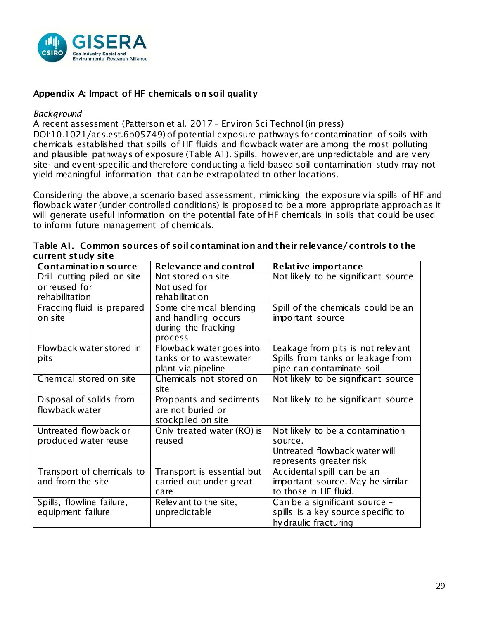

#### Appendix A: Impact of HF chemicals on soil quality

#### *Background*

A recent assessment (Patterson et al. 2017 – Environ Sci Technol (in press)

DOI:10.1021/acs.est.6b05749) of potential exposure pathways for contamination of soils with chemicals established that spills of HF fluids and flowback water are among the most polluting and plausible pathways of exposure (Table A1). Spills, however, are unpredictable and are very site- and event-specific and therefore conducting a field-based soil contamination study may not yield meaningful information that can be extrapolated to other locations.

Considering the above, a scenario based assessment, mimicking the exposure via spills of HF and flowback water (under controlled conditions) is proposed to be a more appropriate approach as it will generate useful information on the potential fate of HF chemicals in soils that could be used to inform future management of chemicals.

| <b>Contamination source</b>                                    | Relevance and control                                                           | <b>Relative importance</b>                                                                              |
|----------------------------------------------------------------|---------------------------------------------------------------------------------|---------------------------------------------------------------------------------------------------------|
| Drill cutting piled on site<br>or reused for<br>rehabilitation | Not stored on site<br>Not used for<br>rehabilitation                            | Not likely to be significant source                                                                     |
| Fraccing fluid is prepared<br>on site                          | Some chemical blending<br>and handling occurs<br>during the fracking<br>process | Spill of the chemicals could be an<br>important source                                                  |
| Flowback water stored in<br>pits                               | Flowback water goes into<br>tanks or to wastewater<br>plant via pipeline        | Leakage from pits is not relevant<br>Spills from tanks or leakage from<br>pipe can contaminate soil     |
| Chemical stored on site                                        | Chemicals not stored on<br>site                                                 | Not likely to be significant source                                                                     |
| Disposal of solids from<br>flowback water                      | Proppants and sediments<br>are not buried or<br>stockpiled on site              | Not likely to be significant source                                                                     |
| Untreated flowback or<br>produced water reuse                  | Only treated water (RO) is<br>reused                                            | Not likely to be a contamination<br>source.<br>Untreated flowback water will<br>represents greater risk |
| Transport of chemicals to<br>and from the site                 | Transport is essential but<br>carried out under great<br>care                   | Accidental spill can be an<br>important source. May be similar<br>to those in HF fluid.                 |
| Spills, flowline failure,<br>equipment failure                 | Relevant to the site,<br>unpredictable                                          | Can be a significant source -<br>spills is a key source specific to<br>hy draulic fracturing            |

|                    | Table A1. Common sources of soil contamination and their relevance/controls to the |
|--------------------|------------------------------------------------------------------------------------|
| current study site |                                                                                    |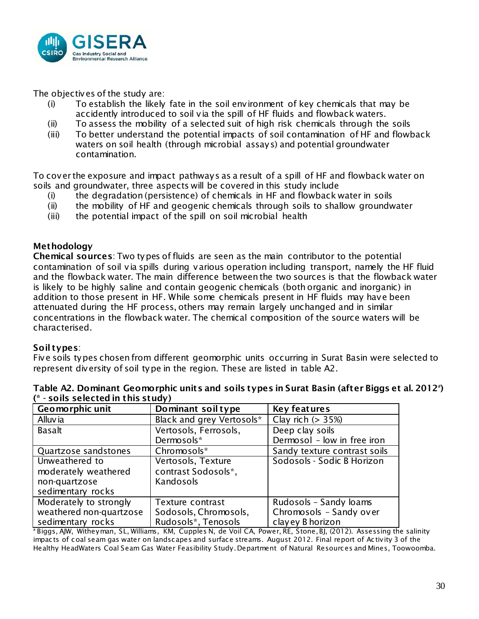

The objectives of the study are:

- (i) To establish the likely fate in the soil environment of key chemicals that may be accidently introduced to soil via the spill of HF fluids and flowback waters.
- (ii) To assess the mobility of a selected suit of high risk chemicals through the soils
- (iii) To better understand the potential impacts of soil contamination of HF and flowback waters on soil health (through microbial assays) and potential groundwater contamination.

To cover the exposure and impact pathways as a result of a spill of HF and flowback water on soils and groundwater, three aspects will be covered in this study include

- (i) the degradation (persistence) of chemicals in HF and flowback water in soils
- (ii) the mobility of HF and geogenic chemicals through soils to shallow groundwater
- (iii) the potential impact of the spill on soil microbial health

#### Methodology

Chemical sources: Two types of fluids are seen as the main contributor to the potential contamination of soil via spills during various operation including transport, namely the HF fluid and the flowback water. The main difference between the two sources is that the flowback water is likely to be highly saline and contain geogenic chemicals (both organic and inorganic) in addition to those present in HF. While some chemicals present in HF fluids may have been attenuated during the HF process, others may remain largely unchanged and in similar concentrations in the flowback water. The chemical composition of the source waters will be characterised.

#### Soil types:

Five soils types chosen from different geomorphic units occurring in Surat Basin were selected to represent diversity of soil type in the region. These are listed in table A2.

| <u>JUNJ JEIEELEM III LINJ JLUUT/</u> |                           |                              |  |  |
|--------------------------------------|---------------------------|------------------------------|--|--|
| Geomorphic unit                      | Dominant soil type        | <b>Key features</b>          |  |  |
| Alluvia                              | Black and grey Vertosols* | Clay rich $(> 35%)$          |  |  |
| <b>Basalt</b>                        | Vertosols, Ferrosols,     | Deep clay soils              |  |  |
|                                      | Dermosols*                | Dermosol - low in free iron  |  |  |
| Quartzose sandstones                 | Chromosols*               | Sandy texture contrast soils |  |  |
| Unweathered to                       | Vertosols, Texture        | Sodosols - Sodic B Horizon   |  |  |
| moderately weathered                 | contrast Sodosols*,       |                              |  |  |
| non-quartzose                        | Kandosols                 |                              |  |  |
| sedimentary rocks                    |                           |                              |  |  |
| Moderately to strongly               | <b>Texture contrast</b>   | Rudosols - Sandy loams       |  |  |
| weathered non-quartzose              | Sodosols, Chromosols,     | Chromosols - Sandy over      |  |  |
| sedimentary rocks                    | Rudosols*, Tenosols       | clayey B horizon             |  |  |

|                                    |  | Table A2. Dominant Geomorphic units and soils types in Surat Basin (after Biggs et al. 2012#) |  |
|------------------------------------|--|-----------------------------------------------------------------------------------------------|--|
| (* - soils selected in this study) |  |                                                                                               |  |

# Biggs, AJW, Witheyman, SL, Williams, KM, Cupples N, de Voil CA, Power, RE, Stone, BJ, (2012). Assessing the salinity impacts of coal seam gas water on landscapes and surface streams. August 2012. Final report of Activity 3 of the Healthy HeadWaters Coal Seam Gas Water Feasibility Study. Department of Natural Resources and Mines, Toowoomba.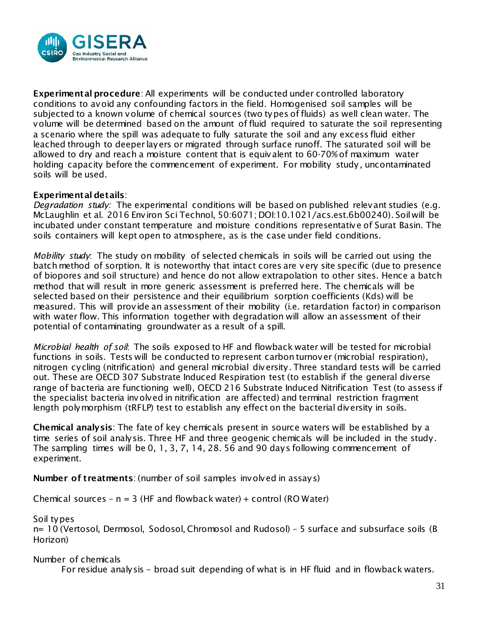

Experimental procedure: All experiments will be conducted under controlled laboratory conditions to avoid any confounding factors in the field. Homogenised soil samples will be subjected to a known volume of chemical sources (two types of fluids) as well clean water. The volume will be determined based on the amount of fluid required to saturate the soil representing a scenario where the spill was adequate to fully saturate the soil and any excess fluid either leached through to deeper layers or migrated through surface runoff. The saturated soil will be allowed to dry and reach a moisture content that is equivalent to 60-70% of maximum water holding capacity before the commencement of experiment. For mobility study, uncontaminated soils will be used.

#### Experimental details:

*Degradation study:* The experimental conditions will be based on published relevant studies (e.g. McLaughlin et al. 2016 Environ Sci Technol, 50:6071; DOI:10.1021/acs.est.6b00240). Soil will be incubated under constant temperature and moisture conditions representative of Surat Basin. The soils containers will kept open to atmosphere, as is the case under field conditions.

*Mobility study*: The study on mobility of selected chemicals in soils will be carried out using the batch method of sorption. It is noteworthy that intact cores are very site specific (due to presence of biopores and soil structure) and hence do not allow extrapolation to other sites. Hence a batch method that will result in more generic assessment is preferred here. The chemicals will be selected based on their persistence and their equilibrium sorption coefficients (Kds) will be measured. This will provide an assessment of their mobility (i.e. retardation factor) in comparison with water flow. This information together with degradation will allow an assessment of their potential of contaminating groundwater as a result of a spill.

*Microbial health of soil*: The soils exposed to HF and flowback water will be tested for microbial functions in soils. Tests will be conducted to represent carbon turnover (microbial respiration), nitrogen cycling (nitrification) and general microbial diversity. Three standard tests will be carried out. These are OECD 307 Substrate Induced Respiration test (to establish if the general diverse range of bacteria are functioning well), OECD 216 Substrate Induced Nitrification Test (to assess if the specialist bacteria involved in nitrification are affected) and terminal restriction fragment length polymorphism (tRFLP) test to establish any effect on the bacterial diversity in soils.

Chemical analysis: The fate of key chemicals present in source waters will be established by a time series of soil analysis. Three HF and three geogenic chemicals will be included in the study. The sampling times will be 0, 1, 3, 7, 14, 28. 56 and 90 days following commencement of experiment.

Number of treatments: (number of soil samples involved in assays)

Chemical sources –  $n = 3$  (HF and flowback water) + control (RO Water)

Soil types

n= 10 (Vertosol, Dermosol, Sodosol, Chromosol and Rudosol) – 5 surface and subsurface soils (B Horizon)

Number of chemicals For residue analysis – broad suit depending of what is in HF fluid and in flowback waters.